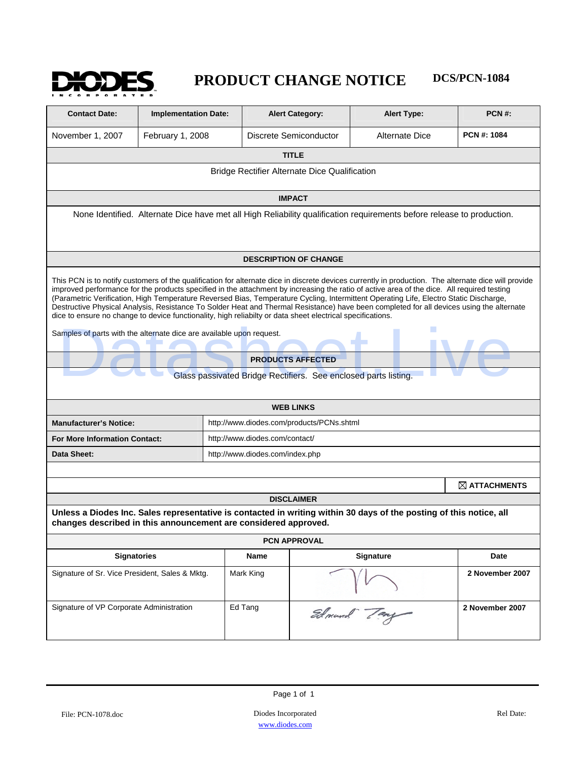

## **PRODUCT CHANGE NOTICE DCS/PCN-1084**

| <b>Contact Date:</b>                                                                                                                                                                                                                                                                                                                                                                                                                                                                                                                                                                                                                                                                                                                                                          | <b>Implementation Date:</b>               |                                | <b>Alert Category:</b> | <b>Alert Type:</b> | <b>PCN#:</b>            |  |
|-------------------------------------------------------------------------------------------------------------------------------------------------------------------------------------------------------------------------------------------------------------------------------------------------------------------------------------------------------------------------------------------------------------------------------------------------------------------------------------------------------------------------------------------------------------------------------------------------------------------------------------------------------------------------------------------------------------------------------------------------------------------------------|-------------------------------------------|--------------------------------|------------------------|--------------------|-------------------------|--|
| November 1, 2007                                                                                                                                                                                                                                                                                                                                                                                                                                                                                                                                                                                                                                                                                                                                                              | February 1, 2008                          |                                | Discrete Semiconductor | Alternate Dice     | PCN #: 1084             |  |
| <b>TITLE</b>                                                                                                                                                                                                                                                                                                                                                                                                                                                                                                                                                                                                                                                                                                                                                                  |                                           |                                |                        |                    |                         |  |
| <b>Bridge Rectifier Alternate Dice Qualification</b>                                                                                                                                                                                                                                                                                                                                                                                                                                                                                                                                                                                                                                                                                                                          |                                           |                                |                        |                    |                         |  |
| <b>IMPACT</b>                                                                                                                                                                                                                                                                                                                                                                                                                                                                                                                                                                                                                                                                                                                                                                 |                                           |                                |                        |                    |                         |  |
| None Identified. Alternate Dice have met all High Reliability qualification requirements before release to production.                                                                                                                                                                                                                                                                                                                                                                                                                                                                                                                                                                                                                                                        |                                           |                                |                        |                    |                         |  |
| <b>DESCRIPTION OF CHANGE</b>                                                                                                                                                                                                                                                                                                                                                                                                                                                                                                                                                                                                                                                                                                                                                  |                                           |                                |                        |                    |                         |  |
| This PCN is to notify customers of the qualification for alternate dice in discrete devices currently in production. The alternate dice will provide<br>improved performance for the products specified in the attachment by increasing the ratio of active area of the dice. All required testing<br>(Parametric Verification, High Temperature Reversed Bias, Temperature Cycling, Intermittent Operating Life, Electro Static Discharge,<br>Destructive Physical Analysis, Resistance To Solder Heat and Thermal Resistance) have been completed for all devices using the alternate<br>dice to ensure no change to device functionality, high reliabilty or data sheet electrical specifications.<br>Samples of parts with the alternate dice are available upon request. |                                           |                                |                        |                    |                         |  |
|                                                                                                                                                                                                                                                                                                                                                                                                                                                                                                                                                                                                                                                                                                                                                                               |                                           |                                |                        |                    |                         |  |
| <b>PRODUCTS AFFECTED</b>                                                                                                                                                                                                                                                                                                                                                                                                                                                                                                                                                                                                                                                                                                                                                      |                                           |                                |                        |                    |                         |  |
| Glass passivated Bridge Rectifiers. See enclosed parts listing.                                                                                                                                                                                                                                                                                                                                                                                                                                                                                                                                                                                                                                                                                                               |                                           |                                |                        |                    |                         |  |
| <b>WEB LINKS</b>                                                                                                                                                                                                                                                                                                                                                                                                                                                                                                                                                                                                                                                                                                                                                              |                                           |                                |                        |                    |                         |  |
| <b>Manufacturer's Notice:</b>                                                                                                                                                                                                                                                                                                                                                                                                                                                                                                                                                                                                                                                                                                                                                 | http://www.diodes.com/products/PCNs.shtml |                                |                        |                    |                         |  |
| <b>For More Information Contact:</b>                                                                                                                                                                                                                                                                                                                                                                                                                                                                                                                                                                                                                                                                                                                                          |                                           | http://www.diodes.com/contact/ |                        |                    |                         |  |
| Data Sheet:<br>http://www.diodes.com/index.php                                                                                                                                                                                                                                                                                                                                                                                                                                                                                                                                                                                                                                                                                                                                |                                           |                                |                        |                    |                         |  |
|                                                                                                                                                                                                                                                                                                                                                                                                                                                                                                                                                                                                                                                                                                                                                                               |                                           |                                |                        |                    |                         |  |
|                                                                                                                                                                                                                                                                                                                                                                                                                                                                                                                                                                                                                                                                                                                                                                               |                                           |                                |                        |                    | $\boxtimes$ ATTACHMENTS |  |
| <b>DISCLAIMER</b>                                                                                                                                                                                                                                                                                                                                                                                                                                                                                                                                                                                                                                                                                                                                                             |                                           |                                |                        |                    |                         |  |
| Unless a Diodes Inc. Sales representative is contacted in writing within 30 days of the posting of this notice, all<br>changes described in this announcement are considered approved.                                                                                                                                                                                                                                                                                                                                                                                                                                                                                                                                                                                        |                                           |                                |                        |                    |                         |  |
| PCN APPROVAL                                                                                                                                                                                                                                                                                                                                                                                                                                                                                                                                                                                                                                                                                                                                                                  |                                           |                                |                        |                    |                         |  |
| <b>Signatories</b>                                                                                                                                                                                                                                                                                                                                                                                                                                                                                                                                                                                                                                                                                                                                                            |                                           | Name                           |                        | Signature          | Date                    |  |
| Signature of Sr. Vice President, Sales & Mktg.                                                                                                                                                                                                                                                                                                                                                                                                                                                                                                                                                                                                                                                                                                                                |                                           | Mark King                      |                        |                    | 2 November 2007         |  |
| Signature of VP Corporate Administration                                                                                                                                                                                                                                                                                                                                                                                                                                                                                                                                                                                                                                                                                                                                      |                                           | Ed Tang                        |                        | Edmund Tang        | 2 November 2007         |  |